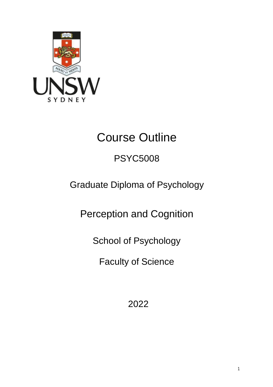

# Course Outline

## PSYC5008

## Graduate Diploma of Psychology

Perception and Cognition

School of Psychology

Faculty of Science

2022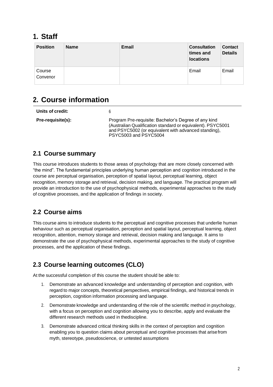## **1. Staff**

| <b>Position</b>    | <b>Name</b> | <b>Email</b> | <b>Consultation</b><br>times and<br><b>locations</b> | <b>Contact</b><br><b>Details</b> |
|--------------------|-------------|--------------|------------------------------------------------------|----------------------------------|
| Course<br>Convenor |             |              | Email                                                | Email                            |

## **2. Course information**

| Units of credit:  | 6                                                                                                                                                                                                    |
|-------------------|------------------------------------------------------------------------------------------------------------------------------------------------------------------------------------------------------|
| Pre-requisite(s): | Program Pre-requisite: Bachelor's Degree of any kind<br>(Australian Qualification standard or equivalent). PSYC5001<br>and PSYC5002 (or equivalent with advanced standing),<br>PSYC5003 and PSYC5004 |

#### **2.1 Course summary**

This course introduces students to those areas of psychology that are more closely concerned with "the mind". The fundamental principles underlying human perception and cognition introduced in the course are perceptual organisation, perception of spatial layout, perceptual learning, object recognition, memory storage and retrieval, decision making, and language. The practical program will provide an introduction to the use of psychophysical methods, experimental approaches to the study of cognitive processes, and the application of findings in society.

#### **2.2 Course aims**

This course aims to introduce students to the perceptual and cognitive processes that underlie human behaviour such as perceptual organisation, perception and spatial layout, perceptual learning, object recognition, attention, memory storage and retrieval, decision making and language. It aims to demonstrate the use of psychophysical methods, experimental approaches to the study of cognitive processes, and the application of these findings.

#### **2.3 Course learning outcomes (CLO)**

At the successful completion of this course the student should be able to:

- 1. Demonstrate an advanced knowledge and understanding of perception and cognition, with regard to major concepts, theoretical perspectives, empirical findings, and historical trends in perception, cognition information processing and language.
- 2. Demonstrate knowledge and understanding of the role of the scientific method in psychology, with a focus on perception and cognition allowing you to describe, apply and evaluate the different research methods used in thediscipline.
- 3. Demonstrate advanced critical thinking skills in the context of perception and cognition enabling you to question claims about perceptual and cognitive processes that arisefrom myth, stereotype, pseudoscience, or untested assumptions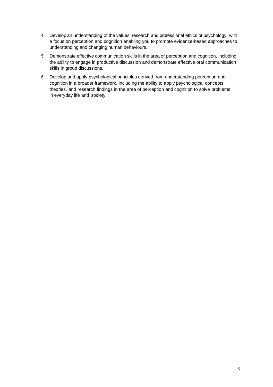- 4. Developan understanding of the values, research and professional ethics of psychology, with a focus on perception and cognition enabling you to promote evidence-based approaches to understanding and changing human behaviours.
- 5. Demonstrate effective communication skills in the area of perception and cognition, including the ability to engage in productive discussion and demonstrate effective oral communication skills in group discussions.
- 6. Develop and apply psychological principles derived from understanding perception and cognition in a broader framework, including the ability to apply psychological concepts, theories, and research findings in the area of perception and cognition to solve problems in everyday life and society.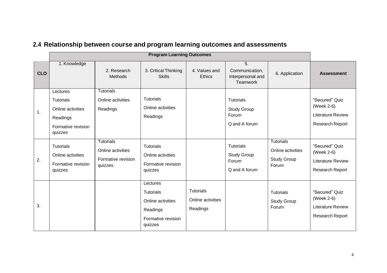|            | <b>Program Learning Outcomes</b>                                                               |                                                                        |                                                                                                |                                                   |                                                                     |                                                                      |                                                                                    |
|------------|------------------------------------------------------------------------------------------------|------------------------------------------------------------------------|------------------------------------------------------------------------------------------------|---------------------------------------------------|---------------------------------------------------------------------|----------------------------------------------------------------------|------------------------------------------------------------------------------------|
| <b>CLO</b> | 1. Knowledge                                                                                   | 2. Research<br><b>Methods</b>                                          | 3. Critical Thinking<br><b>Skills</b>                                                          | 4. Values and<br><b>Ethics</b>                    | $\overline{5}$ .<br>Communication,<br>Interpersonal and<br>Teamwork | 6. Application                                                       | <b>Assessment</b>                                                                  |
| 1.         | Lectures<br><b>Tutorials</b><br>Online activities<br>Readings<br>Formative revision<br>quizzes | <b>Tutorials</b><br>Online activities<br>Readings                      | <b>Tutorials</b><br>Online activities<br>Readings                                              |                                                   | <b>Tutorials</b><br><b>Study Group</b><br>Forum<br>Q and A forum    |                                                                      | "Secured" Quiz<br>(Week 2-6)<br><b>Literature Review</b><br>Research Report        |
| 2.         | <b>Tutorials</b><br>Online activities<br>Formative revision<br>quizzes                         | <b>Tutorials</b><br>Online activities<br>Formative revision<br>quizzes | Tutorials<br>Online activities<br>Formative revision<br>quizzes                                |                                                   | <b>Tutorials</b><br><b>Study Group</b><br>Forum<br>Q and A forum    | <b>Tutorials</b><br>Online activities<br><b>Study Group</b><br>Forum | "Secured" Quiz<br>(Week 2-6)<br><b>Literature Review</b><br>Research Report        |
| 3.         |                                                                                                |                                                                        | Lectures<br><b>Tutorials</b><br>Online activities<br>Readings<br>Formative revision<br>quizzes | <b>Tutorials</b><br>Online activities<br>Readings |                                                                     | <b>Tutorials</b><br><b>Study Group</b><br>Forum                      | "Secured" Quiz<br>(Week 2-6)<br><b>Literature Review</b><br><b>Research Report</b> |

## **2.4 Relationship between course and program learning outcomes and assessments**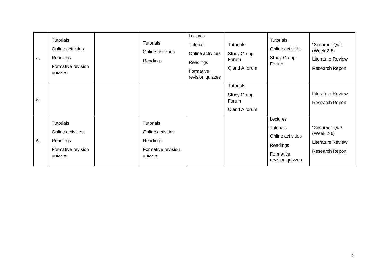| 4. | <b>Tutorials</b><br>Online activities<br>Readings<br>Formative revision<br>quizzes | <b>Tutorials</b><br>Online activities<br>Readings                                  | Lectures<br>Tutorials<br>Online activities<br>Readings<br>Formative<br>revision quizzes | <b>Tutorials</b><br><b>Study Group</b><br>Forum<br>Q and A forum | Tutorials<br>Online activities<br>Study Group<br>Forum                                  | "Secured" Quiz<br>(Week 2-6)<br><b>Literature Review</b><br>Research Report |
|----|------------------------------------------------------------------------------------|------------------------------------------------------------------------------------|-----------------------------------------------------------------------------------------|------------------------------------------------------------------|-----------------------------------------------------------------------------------------|-----------------------------------------------------------------------------|
| 5. |                                                                                    |                                                                                    |                                                                                         | <b>Tutorials</b><br><b>Study Group</b><br>Forum<br>Q and A forum |                                                                                         | <b>Literature Review</b><br>Research Report                                 |
| 6. | <b>Tutorials</b><br>Online activities<br>Readings<br>Formative revision<br>quizzes | <b>Tutorials</b><br>Online activities<br>Readings<br>Formative revision<br>quizzes |                                                                                         |                                                                  | Lectures<br>Tutorials<br>Online activities<br>Readings<br>Formative<br>revision quizzes | "Secured" Quiz<br>(Week 2-6)<br><b>Literature Review</b><br>Research Report |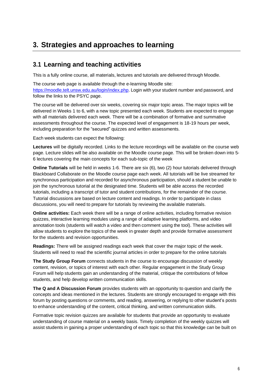## **3. Strategies and approaches to learning**

#### **3.1 Learning and teaching activities**

This is a fully online course, all materials, lectures and tutorials are delivered through Moodle.

The course web page is available through the e-learning Moodle site: [https://moodle.telt.unsw.edu.au/login/index.php.](https://moodle.telt.unsw.edu.au/login/index.php) Login with your student number and password, and follow the links to the PSYC page.

The course will be delivered over six weeks, covering six major topic areas. The major topics will be delivered in Weeks 1 to 6, with a new topic presented each week. Students are expected to engage with all materials delivered each week. There will be a combination of formative and summative assessments throughout the course. The expected level of engagement is 18-19 hours per week, including preparation for the "secured" quizzes and written assessments.

Each week students can expect the following:

**Lectures** will be digitally recorded. Links to the lecture recordings will be available on the course web page. Lecture slides will be also available on the Moodle course page. This will be broken down into 5- 6 lectures covering the main concepts for each sub-topic of the week

**Online Tutorials** will be held in weeks 1-6. There are six (6), two (2) hour tutorials delivered through Blackboard Collaborate on the Moodle course page each week. All tutorials will be live streamed for synchronous participation and recorded for asynchronous participation, should a student be unable to join the synchronous tutorial at the designated time. Students will be able access the recorded tutorials, including a transcript of tutor and student contributions, for the remainder of the course. Tutorial discussions are based on lecture content and readings. In order to participate in class discussions, you will need to prepare for tutorials by reviewing the available materials.

**Online activities:** Each week there will be a range of online activities, including formative revision quizzes, interactive learning modules using a range of adaptive learning platforms, and video annotation tools (students will watch a video and then comment using the tool). These activities will allow students to explore the topics of the week in greater depth and provide formative assessment for the students and revision opportunities.

**Readings:** There will be assigned readings each week that cover the major topic of the week. Students will need to read the scientific journal articles in order to prepare for the online tutorials

**The Study Group Forum** connects students in the course to encourage discussion of weekly content, revision, or topics of interest with each other. Regular engagement in the Study Group Forum will help students gain an understanding of the material, critique the contributions of fellow students, and help develop written communication skills.

**The Q and A Discussion Forum** provides students with an opportunity to question and clarify the concepts and ideas mentioned in the lectures. Students are strongly encouraged to engage with this forum by posting questions or comments, and reading, answering, or replying to other student's posts to enhance understanding of the content, critical thinking, and written communication skills.

Formative topic revision quizzes are available for students that provide an opportunity to evaluate understanding of course material on a weekly basis. Timely completion of the weekly quizzes will assist students in gaining a proper understanding of each topic so that this knowledge can be built on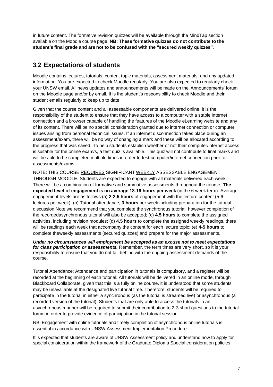in future content. The formative revision quizzes will be available through the MindTap section available on the Moodle course page. **NB: These formative quizzes do not contribute to the student's final grade and are not to be confused with the "secured weekly quizzes"**.

#### **3.2 Expectations of students**

Moodle contains lectures, tutorials, content topic materials, assessment materials, and any updated information. You are expected to check Moodle regularly. You are also expected to regularly check your UNSW email. All news updates and announcements will be made on the 'Announcements' forum on the Moodle page and/or by email. It is the student's responsibility to check Moodle and their student emails regularly to keep up to date.

Given that the course content and all assessable components are delivered online, it is the responsibility of the student to ensure that they have access to a computer with a stable internet connection and a browser capable of handling the features of the Moodle eLearning website and any of its content. There will be no special consideration granted due to internet connection or computer issues arising from personal technical issues. If an internet disconnection takes place during an assessment/exam, there will be no way of changing a mark and these will be allocated according to the progress that was saved. To help students establish whether or not their computer/internet access is suitable for the online exam/s, a test quiz is available. This quiz will not contribute to final marks and will be able to be completed multiple times in order to test computer/internet connection prior to assessments/exams.

NOTE: THIS COURSE REQUIRES SIGNIFICANT WEEKLY ASSESSABLE ENGAGEMENT THROUGH MOODLE. Students are expected to engage with all materials delivered each week. There will be a combination of formative and summative assessments throughout the course. **The expected level of engagement is on average 18-19 hours per week** (in the 6-week term). Average engagement levels are as follows (a) **2-2.5 hours** of engagement with the lecture content (5-6 lectures per week); (b) Tutorial attendance, **3 hours** per week including preparation for the tutorial discussion.Note we recommend that you complete the synchronous tutorial, however completion of the recordedasynchronous tutorial will also be accepted; (c) **4.5 hours** to complete the assigned activities, including revision modules; (d) **4.5 hours** to complete the assigned weekly readings, there will be readings each week that accompany the content for each lecture topic; (e) **4-5 hours** to complete theweekly assessments (secured quizzes) and prepare for the major assessments.

*Under no circumstances will employment be accepted as an excuse not to meet expectations for class participation or assessments.* Remember, the term times are very short, so it is your responsibility to ensure that you do not fall behind with the ongoing assessment demands of the course.

Tutorial Attendance: Attendance and participation in tutorials is compulsory, and a register will be recorded at the beginning of each tutorial. All tutorials will be delivered in an online mode, through Blackboard Collaborate, given that this is a fully online course, it is understood that some students may be unavailable at the designated live tutorial time. Therefore, students will be required to participate in the tutorial in either a synchronous (as the tutorial is streamed live) or asynchronous (a recorded version of the tutorial). Students that are only able to access the tutorials in an asynchronous manner will be required to submit their contribution to 2-3 short questions to the tutorial forum in order to provide evidence of participation in the tutorial session.

NB: Engagement with online tutorials and timely completion of asynchronous online tutorials is essential in accordance with UNSW Assessment Implementation Procedure.

It is expected that students are aware of UNSW Assessment policy and understand how to apply for special consideration within the framework of the Graduate Diploma Special consideration policies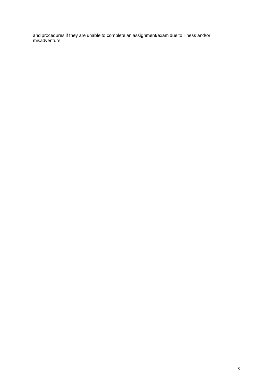and procedures if they are unable to complete an assignment/exam due to illness and/or misadventure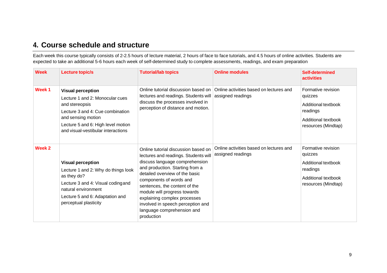#### **4. Course schedule and structure**

Each week this course typically consists of 2-2.5 hours of lecture material, 2 hours of face to face tutorials, and 4.5 hours of online activities. Students are expected to take an additional 5-6 hours each week of self-determined study to complete assessments, readings, and exam preparation

| <b>Week</b>       | Lecture topic/s                                                                                                                                                                                                     | <b>Tutorial/lab topics</b>                                                                                                                                                                                                                                                                                                                                                                      | <b>Online modules</b>                                        | Self-determined<br><b>activities</b>                                                                           |
|-------------------|---------------------------------------------------------------------------------------------------------------------------------------------------------------------------------------------------------------------|-------------------------------------------------------------------------------------------------------------------------------------------------------------------------------------------------------------------------------------------------------------------------------------------------------------------------------------------------------------------------------------------------|--------------------------------------------------------------|----------------------------------------------------------------------------------------------------------------|
| Week <sub>1</sub> | <b>Visual perception</b><br>Lecture 1 and 2: Monocular cues<br>and stereopsis<br>Lecture 3 and 4: Cue combination<br>and sensing motion<br>Lecture 5 and 6: High level motion<br>and visual-vestibular interactions | Online tutorial discussion based on<br>lectures and readings. Students will<br>discuss the processes involved in<br>perception of distance and motion.                                                                                                                                                                                                                                          | Online activities based on lectures and<br>assigned readings | Formative revision<br>quizzes<br>Additional textbook<br>readings<br>Additional textbook<br>resources (Mindtap) |
| Week 2            | <b>Visual perception</b><br>Lecture 1 and 2: Why do things look<br>as they do?<br>Lecture 3 and 4: Visual codingand<br>natural environment<br>Lecture 5 and 6: Adaptation and<br>perceptual plasticity              | Online tutorial discussion based on<br>lectures and readings. Students will<br>discuss language comprehension<br>and production. Starting from a<br>detailed overview of the basic<br>components of words and<br>sentences, the content of the<br>module will progress towards<br>explaining complex processes<br>involved in speech perception and<br>language comprehension and<br>production | Online activities based on lectures and<br>assigned readings | Formative revision<br>quizzes<br>Additional textbook<br>readings<br>Additional textbook<br>resources (Mindtap) |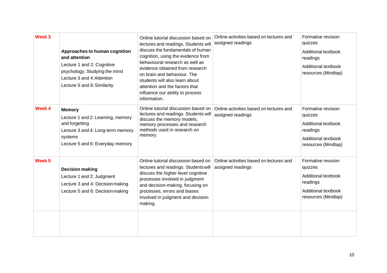| Week 3            | Approaches to human cognition<br>and attention<br>Lecture 1 and 2: Cognitive<br>psychology: Studying the mind<br>Lecture 3 and 4: Attention<br>Lecture 5 and 6: Similarity | Online tutorial discussion based on<br>lectures and readings. Students will<br>discuss the fundamentals of human<br>cognition, using the evidence from<br>behavioural research as well as<br>evidence obtained from research<br>on brain and behaviour. The<br>students will also learn about<br>attention and the factors that<br>influence our ability to process<br>information. | Online activities based on lectures and<br>assigned readings | Formative revision<br>quizzes<br>Additional textbook<br>readings<br><b>Additional textbook</b><br>resources (Mindtap) |
|-------------------|----------------------------------------------------------------------------------------------------------------------------------------------------------------------------|-------------------------------------------------------------------------------------------------------------------------------------------------------------------------------------------------------------------------------------------------------------------------------------------------------------------------------------------------------------------------------------|--------------------------------------------------------------|-----------------------------------------------------------------------------------------------------------------------|
| Week 4            | <b>Memory</b><br>Lecture 1 and 2: Learning, memory<br>and forgetting<br>Lecture 3 and 4: Long-term memory<br>systems<br>Lecture 5 and 6: Everyday memory                   | Online tutorial discussion based on<br>lectures and readings. Students will<br>discuss the memory models,<br>memory processes and research<br>methods used in research on<br>memory.                                                                                                                                                                                                | Online activities based on lectures and<br>assigned readings | Formative revision<br>quizzes<br>Additional textbook<br>readings<br><b>Additional textbook</b><br>resources (Mindtap) |
| Week <sub>5</sub> | <b>Decision making</b><br>Lecture 1 and 2: Judgment<br>Lecture 3 and 4: Decision making<br>Lecture 5 and 6: Decision making                                                | Online tutorial discussion based on<br>lectures and readings. Students will<br>discuss the higher-level cognitive<br>processes involved in judgment<br>and decision-making, focusing on<br>processes, errors and biases<br>involved in judgment and decision<br>making.                                                                                                             | Online activities based on lectures and<br>assigned readings | Formative revision<br>quizzes<br>Additional textbook<br>readings<br><b>Additional textbook</b><br>resources (Mindtap) |
|                   |                                                                                                                                                                            |                                                                                                                                                                                                                                                                                                                                                                                     |                                                              |                                                                                                                       |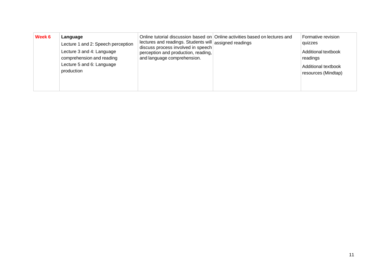| Week 6 | Language<br>Lecture 1 and 2: Speech perception<br>Lecture 3 and 4: Language<br>comprehension and reading<br>Lecture 5 and 6: Language<br>production | lectures and readings. Students will assigned readings<br>discuss process involved in speech<br>perception and production, reading,<br>and language comprehension. | Online tutorial discussion based on Online activities based on lectures and | Formative revision<br>quizzes<br>Additional textbook<br>readings<br>Additional textbook<br>resources (Mindtap) |
|--------|-----------------------------------------------------------------------------------------------------------------------------------------------------|--------------------------------------------------------------------------------------------------------------------------------------------------------------------|-----------------------------------------------------------------------------|----------------------------------------------------------------------------------------------------------------|
|--------|-----------------------------------------------------------------------------------------------------------------------------------------------------|--------------------------------------------------------------------------------------------------------------------------------------------------------------------|-----------------------------------------------------------------------------|----------------------------------------------------------------------------------------------------------------|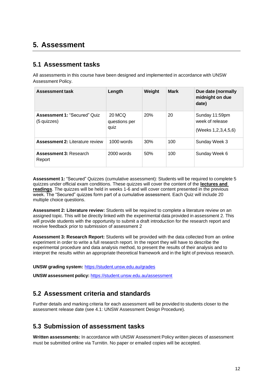#### **5. Assessment**

#### **5.1 Assessment tasks**

All assessments in this course have been designed and implemented in accordance with UNSW Assessment Policy.

| Assessment task                                    | Length                          | Weight | <b>Mark</b> | Due date (normally<br>midnight on due<br>date)           |
|----------------------------------------------------|---------------------------------|--------|-------------|----------------------------------------------------------|
| <b>Assessment 1: "Secured" Quiz</b><br>(5 quizzes) | 20 MCQ<br>questions per<br>quiz | 20%    | 20          | Sunday 11:59pm<br>week of release<br>(Weeks 1,2,3,4,5,6) |
| <b>Assessment 2: Literature review</b>             | $1000$ words                    | 30%    | 100         | Sunday Week 3                                            |
| <b>Assessment 3: Research</b><br>Report            | $2000$ words                    | 50%    | 100         | Sunday Week 6                                            |

**Assessment 1:** "Secured" Quizzes (cumulative assessment): Students will be required to complete 5 quizzes under official exam conditions. These quizzes will cover the content of the **lectures and readings**. The quizzes will be held in weeks 1-6 and will cover content presented in the previous week. The "Secured" quizzes form part of a cumulative assessment. Each Quiz will include 20 multiple choice questions.

**Assessment 2: Literature review:** Students will be required to complete a literature review on an assigned topic. This will be directly linked with the experimental data provided in assessment 2. This will provide students with the opportunity to submit a draft introduction for the research report and receive feedback prior to submission of assessment 2

**Assessment 3: Research Report:** Students will be provided with the data collected from an online experiment in order to write a full research report. In the report they will have to describe the experimental procedure and data analysis method, to present the results of their analysis and to interpret the results within an appropriate theoretical framework and in the light of previous research.

**UNSW grading system:** <https://student.unsw.edu.au/grades>

**UNSW assessment policy:** <https://student.unsw.edu.au/assessment>

#### **5.2 Assessment criteria and standards**

Further details and marking criteria for each assessment will be provided to students closer to the assessment release date (see 4.1: UNSW Assessment Design Procedure).

#### **5.3 Submission of assessment tasks**

**Written assessments:** In accordance with UNSW Assessment Policy written pieces of assessment must be submitted online via Turnitin. No paper or emailed copies will be accepted.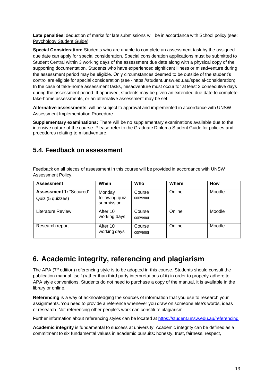**Late penalties**: deduction of marks for late submissions will be in accordance with School policy (see: [Psychology](https://moodle.telt.unsw.edu.au/mod/resource/view.php?id=1630526) Student Guide).

**Special Consideration:** Students who are unable to complete an assessment task by the assigned due date can apply for special consideration. Special consideration applications must be submitted to Student Central within 3 working days of the assessment due date along with a physical copy of the supporting documentation. Students who have experienced significant illness or misadventure during the assessment period may be eligible. Only circumstances deemed to be outside of the student's control are eligible for special consideration (see - https://student.unsw.edu.au/special-consideration). In the case of take-home assessment tasks, misadventure must occur for at least 3 consecutive days during the assessment period. If approved, students may be given an extended due date to complete take-home assessments, or an alternative assessment may be set.

**Alternative assessments**: will be subject to approval and implemented in accordance with UNSW Assessment Implementation Procedure.

**Supplementary examinations:** There will be no supplementary examinations available due to the intensive nature of the course. Please refer to the Graduate Diploma Student Guide for policies and procedures relating to misadventure.

#### **5.4. Feedback on assessment**

Feedback on all pieces of assessment in this course will be provided in accordance with UNSW Assessment Policy.

| <b>Assessment</b>                           | When                                   | Who                | Where  | How    |
|---------------------------------------------|----------------------------------------|--------------------|--------|--------|
| Assessment 1: "Secured"<br>Quiz (5 quizzes) | Monday<br>following quiz<br>submission | Course<br>convenor | Online | Moodle |
| Literature Review                           | After 10<br>working days               | Course<br>convenor | Online | Moodle |
| Research report                             | After 10<br>working days               | Course<br>convenor | Online | Moodle |

## **6. Academic integrity, referencing and plagiarism**

The APA (7<sup>th</sup> edition) referencing style is to be adopted in this course. Students should consult the publication manual itself (rather than third party interpretations of it) in order to properly adhere to APA style conventions. Students do not need to purchase a copy of the manual, it is available in the library or online.

**Referencing** is a way of acknowledging the sources of information that you use to research your [assignments.](http://www.apastyle.org/manual/index.aspx) You need to provide a reference whenever you draw on someone else's words, ideas or research. Not referencing other people's work can constitute plagiarism.

Further information about referencing styles can be located at https://student.unsw.edu.au/referencing

**Academic integrity** is fundamental to success at university. Academic integrity can be defined as a commitment to six fundamental values in academic pursuits**:** [honesty,](https://student.unsw.edu.au/referencing) trust, fairness, respect,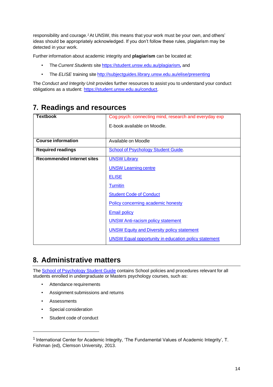responsibility and courag[e.](#page-13-0) *<sup>1</sup>*[A](#page-13-0)t UNSW, this means that your work must be your own, and others' ideas should be appropriately acknowledged. If you don't follow these rules, plagiarism may be detected in your work.

Further information about academic integrity and **plagiarism** can be located at:

- The *Current Students* site <https://student.unsw.edu.au/plagiarism>*,* and
- The *ELISE* training site <http://subjectguides.library.unsw.edu.au/elise/presenting>

The *Conduct and Integrity Unit* provides further resources to assist you to understand your conduct obligations as a student: [https://student.unsw.edu.au/conduct.](https://student.unsw.edu.au/conduct)

## **7. Readings and resources**

| <b>Textbook</b>                   | Cog psych: connecting mind, research and everyday exp       |
|-----------------------------------|-------------------------------------------------------------|
|                                   | E-book available on Moodle.                                 |
|                                   |                                                             |
| <b>Course information</b>         | Available on Moodle                                         |
| <b>Required readings</b>          | <b>School of Psychology Student Guide.</b>                  |
| <b>Recommended internet sites</b> | <b>UNSW Library</b>                                         |
|                                   | <b>UNSW Learning centre</b>                                 |
|                                   | <b>ELISE</b>                                                |
|                                   | <b>Turnitin</b>                                             |
|                                   | <b>Student Code of Conduct</b>                              |
|                                   | Policy concerning academic honesty                          |
|                                   | <b>Email policy</b>                                         |
|                                   | <b>UNSW Anti-racism policy statement</b>                    |
|                                   | <b>UNSW Equity and Diversity policy statement</b>           |
|                                   | <b>UNSW Equal opportunity in education policy statement</b> |

## **8. Administrative matters**

The School of [Psychology](http://psy.unsw.edu.au/sites/all/files/page_file_attachment/2018%20S1%20Psychology%20Student%20Guide_20180130.pdf) Student Guide contains School policies and procedures relevant for all students enrolled in undergraduate or Masters psychology courses, such as:

- Attendance requirements
- Assignment submissions and returns
- Assessments
- Special consideration
- Student code of conduct

<span id="page-13-0"></span><sup>&</sup>lt;sup>1</sup> International Center for Academic Integrity, 'The Fundamental Values of Academic Integrity', T. Fishman (ed), Clemson University, 2013.